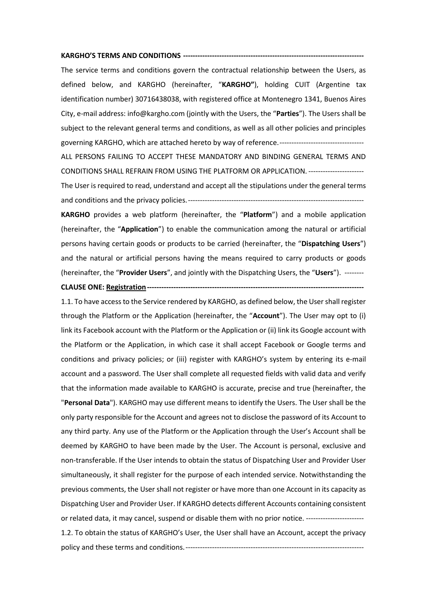#### **KARGHO'S TERMS AND CONDITIONS ---------------------------------------------------------------------------**

The service terms and conditions govern the contractual relationship between the Users, as defined below, and KARGHO (hereinafter, "**KARGHO"**), holding CUIT (Argentine tax identification number) 30716438038, with registered office at Montenegro 1341, Buenos Aires City, e-mail address: info@kargho.com (jointly with the Users, the "**Parties**"). The Users shall be subject to the relevant general terms and conditions, as well as all other policies and principles governing KARGHO, which are attached hereto by way of reference.----------------------------------- ALL PERSONS FAILING TO ACCEPT THESE MANDATORY AND BINDING GENERAL TERMS AND CONDITIONS SHALL REFRAIN FROM USING THE PLATFORM OR APPLICATION. ----------------------- The User is required to read, understand and accept all the stipulations under the general terms and conditions and the privacy policies.-------------------------------------------------------------------------

**KARGHO** provides a web platform (hereinafter, the "**Platform**") and a mobile application (hereinafter, the "**Application**") to enable the communication among the natural or artificial persons having certain goods or products to be carried (hereinafter, the "**Dispatching Users**") and the natural or artificial persons having the means required to carry products or goods (hereinafter, the "**Provider Users**", and jointly with the Dispatching Users, the "**Users**"). --------

### **CLAUSE ONE: Registration------------------------------------------------------------------------------------------**

1.1. To have access to the Service rendered by KARGHO, as defined below, the User shall register through the Platform or the Application (hereinafter, the "**Account**"). The User may opt to (i) link its Facebook account with the Platform or the Application or (ii) link its Google account with the Platform or the Application, in which case it shall accept Facebook or Google terms and conditions and privacy policies; or (iii) register with KARGHO's system by entering its e-mail account and a password. The User shall complete all requested fields with valid data and verify that the information made available to KARGHO is accurate, precise and true (hereinafter, the "**Personal Data**"). KARGHO may use different means to identify the Users. The User shall be the only party responsible for the Account and agrees not to disclose the password of its Account to any third party. Any use of the Platform or the Application through the User's Account shall be deemed by KARGHO to have been made by the User. The Account is personal, exclusive and non-transferable. If the User intends to obtain the status of Dispatching User and Provider User simultaneously, it shall register for the purpose of each intended service. Notwithstanding the previous comments, the User shall not register or have more than one Account in its capacity as Dispatching User and Provider User. If KARGHO detects different Accounts containing consistent or related data, it may cancel, suspend or disable them with no prior notice. ------------------------

1.2. To obtain the status of KARGHO's User, the User shall have an Account, accept the privacy policy and these terms and conditions.--------------------------------------------------------------------------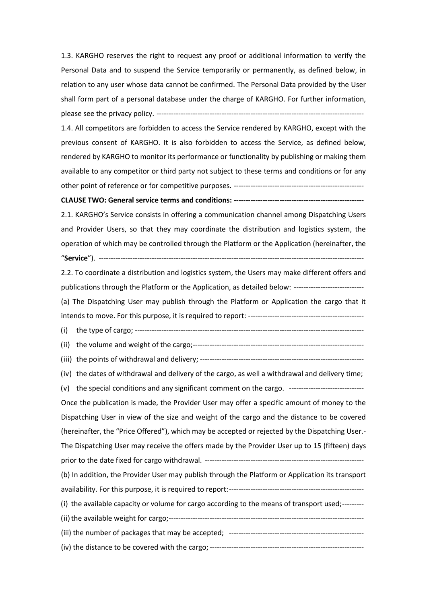1.3. KARGHO reserves the right to request any proof or additional information to verify the Personal Data and to suspend the Service temporarily or permanently, as defined below, in relation to any user whose data cannot be confirmed. The Personal Data provided by the User shall form part of a personal database under the charge of KARGHO. For further information, please see the privacy policy. --------------------------------------------------------------------------------------

1.4. All competitors are forbidden to access the Service rendered by KARGHO, except with the previous consent of KARGHO. It is also forbidden to access the Service, as defined below, rendered by KARGHO to monitor its performance or functionality by publishing or making them available to any competitor or third party not subject to these terms and conditions or for any other point of reference or for competitive purposes. ------------------------------------------------------

#### **CLAUSE TWO: General service terms and conditions: ------------------------------------------------------**

2.1. KARGHO's Service consists in offering a communication channel among Dispatching Users and Provider Users, so that they may coordinate the distribution and logistics system, the operation of which may be controlled through the Platform or the Application (hereinafter, the

"**Service**"). --------------------------------------------------------------------------------------------------------------

2.2. To coordinate a distribution and logistics system, the Users may make different offers and publications through the Platform or the Application, as detailed below: -----------------------------

(a) The Dispatching User may publish through the Platform or Application the cargo that it intends to move. For this purpose, it is required to report: ------------------------------------------------

(i) the type of cargo; -----------------------------------------------------------------------------------------------

(ii) the volume and weight of the cargo;-----------------------------------------------------------------------

(iii) the points of withdrawal and delivery; --------------------------------------------------------------------

(iv) the dates of withdrawal and delivery of the cargo, as well a withdrawal and delivery time;

(v) the special conditions and any significant comment on the cargo. -------------------------------

Once the publication is made, the Provider User may offer a specific amount of money to the Dispatching User in view of the size and weight of the cargo and the distance to be covered (hereinafter, the "Price Offered"), which may be accepted or rejected by the Dispatching User.- The Dispatching User may receive the offers made by the Provider User up to 15 (fifteen) days prior to the date fixed for cargo withdrawal. ------------------------------------------------------------------ (b) In addition, the Provider User may publish through the Platform or Application its transport availability. For this purpose, it is required to report:--------------------------------------------------------

(i) the available capacity or volume for cargo according to the means of transport used;---------

(ii)the available weight for cargo;--------------------------------------------------------------------------------- (iii) the number of packages that may be accepted; -------------------------------------------------------- (iv) the distance to be covered with the cargo;----------------------------------------------------------------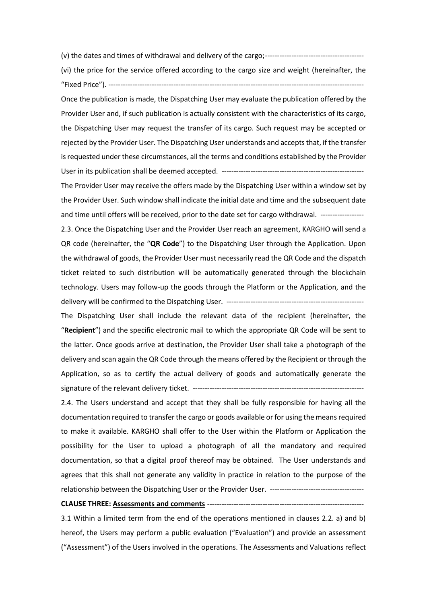(v) the dates and times of withdrawal and delivery of the cargo;-----------------------------------------

(vi) the price for the service offered according to the cargo size and weight (hereinafter, the "Fixed Price"). ----------------------------------------------------------------------------------------------------------

Once the publication is made, the Dispatching User may evaluate the publication offered by the Provider User and, if such publication is actually consistent with the characteristics of its cargo, the Dispatching User may request the transfer of its cargo. Such request may be accepted or rejected by the Provider User. The Dispatching User understands and accepts that, if the transfer is requested under these circumstances, all the terms and conditions established by the Provider User in its publication shall be deemed accepted. -----------------------------------------------------------

The Provider User may receive the offers made by the Dispatching User within a window set by the Provider User. Such window shall indicate the initial date and time and the subsequent date and time until offers will be received, prior to the date set for cargo withdrawal. ------------------

2.3. Once the Dispatching User and the Provider User reach an agreement, KARGHO will send a QR code (hereinafter, the "**QR Code**") to the Dispatching User through the Application. Upon the withdrawal of goods, the Provider User must necessarily read the QR Code and the dispatch ticket related to such distribution will be automatically generated through the blockchain technology. Users may follow-up the goods through the Platform or the Application, and the delivery will be confirmed to the Dispatching User. ---------------------------------------------------------

The Dispatching User shall include the relevant data of the recipient (hereinafter, the "**Recipient**") and the specific electronic mail to which the appropriate QR Code will be sent to the latter. Once goods arrive at destination, the Provider User shall take a photograph of the delivery and scan again the QR Code through the means offered by the Recipient or through the Application, so as to certify the actual delivery of goods and automatically generate the signature of the relevant delivery ticket. -----------------------------------------------------------------------

2.4. The Users understand and accept that they shall be fully responsible for having all the documentation required to transfer the cargo or goods available or for using the means required to make it available. KARGHO shall offer to the User within the Platform or Application the possibility for the User to upload a photograph of all the mandatory and required documentation, so that a digital proof thereof may be obtained. The User understands and agrees that this shall not generate any validity in practice in relation to the purpose of the relationship between the Dispatching User or the Provider User. ---------------------------------------

## **CLAUSE THREE: Assessments and comments -----------------------------------------------------------------**

3.1 Within a limited term from the end of the operations mentioned in clauses 2.2. a) and b) hereof, the Users may perform a public evaluation ("Evaluation") and provide an assessment ("Assessment") of the Users involved in the operations. The Assessments and Valuations reflect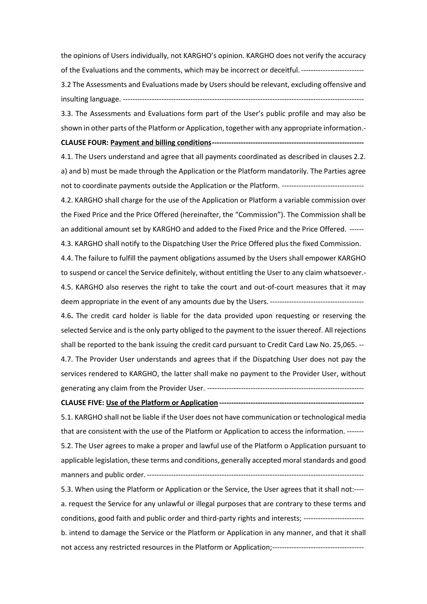the opinions of Users individually, not KARGHO's opinion. KARGHO does not verify the accuracy of the Evaluations and the comments, which may be incorrect or deceitful. --------------------------3.2 The Assessments and Evaluations made by Users should be relevant, excluding offensive and insulting language. ----------------------------------------------------------------------------------------------------

3.3. The Assessments and Evaluations form part of the User's public profile and may also be shown in other parts of the Platform or Application, together with any appropriate information.-

## **CLAUSE FOUR: Payment and billing conditions---------------------------------------------------------------**

4.1. The Users understand and agree that all payments coordinated as described in clauses 2.2. a) and b) must be made through the Application or the Platform mandatorily. The Parties agree not to coordinate payments outside the Application or the Platform. ----------------------------------

4.2. KARGHO shall charge for the use of the Application or Platform a variable commission over the Fixed Price and the Price Offered (hereinafter, the "Commission"). The Commission shall be an additional amount set by KARGHO and added to the Fixed Price and the Price Offered. ------ 4.3. KARGHO shall notify to the Dispatching User the Price Offered plus the fixed Commission.

4.4. The failure to fulfill the payment obligations assumed by the Users shall empower KARGHO to suspend or cancel the Service definitely, without entitling the User to any claim whatsoever.- 4.5. KARGHO also reserves the right to take the court and out-of-court measures that it may deem appropriate in the event of any amounts due by the Users.---------------------------------------

4.6**.** The credit card holder is liable for the data provided upon requesting or reserving the selected Service and is the only party obliged to the payment to the issuer thereof. All rejections shall be reported to the bank issuing the credit card pursuant to Credit Card Law No. 25,065. --

4.7. The Provider User understands and agrees that if the Dispatching User does not pay the services rendered to KARGHO, the latter shall make no payment to the Provider User, without generating any claim from the Provider User. -----------------------------------------------------------------

### **CLAUSE FIVE: Use of the Platform or Application ------------------------------------------------------------**

5.1. KARGHO shall not be liable if the User does not have communication or technological media that are consistent with the use of the Platform or Application to access the information. ------- 5.2. The User agrees to make a proper and lawful use of the Platform o Application pursuant to applicable legislation, these terms and conditions, generally accepted moral standards and good manners and public order. ------------------------------------------------------------------------------------------

5.3. When using the Platform or Application or the Service, the User agrees that it shall not:--- a. request the Service for any unlawful or illegal purposes that are contrary to these terms and conditions, good faith and public order and third-party rights and interests; ------------------------ b. intend to damage the Service or the Platform or Application in any manner, and that it shall not access any restricted resources in the Platform or Application;--------------------------------------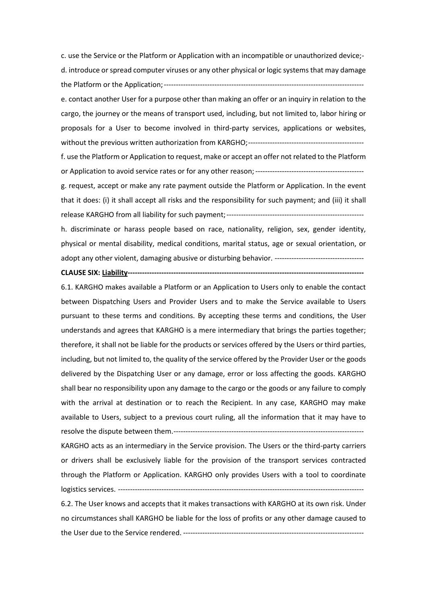c. use the Service or the Platform or Application with an incompatible or unauthorized device; d. introduce or spread computer viruses or any other physical or logic systems that may damage the Platform or the Application;---------------------------------------------------------------------------------- e. contact another User for a purpose other than making an offer or an inquiry in relation to the

cargo, the journey or the means of transport used, including, but not limited to, labor hiring or proposals for a User to become involved in third-party services, applications or websites, without the previous written authorization from KARGHO;------------------------------------------------

f. use the Platform or Application to request, make or accept an offer not related to the Platform or Application to avoid service rates or for any other reason; -------------------------------------------- g. request, accept or make any rate payment outside the Platform or Application. In the event that it does: (i) it shall accept all risks and the responsibility for such payment; and (iii) it shall release KARGHO from all liability for such payment;---------------------------------------------------------

h. discriminate or harass people based on race, nationality, religion, sex, gender identity, physical or mental disability, medical conditions, marital status, age or sexual orientation, or adopt any other violent, damaging abusive or disturbing behavior. -------------------------------------

**CLAUSE SIX: Liability--------------------------------------------------------------------------------------------------**

6.1. KARGHO makes available a Platform or an Application to Users only to enable the contact between Dispatching Users and Provider Users and to make the Service available to Users pursuant to these terms and conditions. By accepting these terms and conditions, the User understands and agrees that KARGHO is a mere intermediary that brings the parties together; therefore, it shall not be liable for the products or services offered by the Users or third parties, including, but not limited to, the quality of the service offered by the Provider User or the goods delivered by the Dispatching User or any damage, error or loss affecting the goods. KARGHO shall bear no responsibility upon any damage to the cargo or the goods or any failure to comply with the arrival at destination or to reach the Recipient. In any case, KARGHO may make available to Users, subject to a previous court ruling, all the information that it may have to resolve the dispute between them.-------------------------------------------------------------------------------

KARGHO acts as an intermediary in the Service provision. The Users or the third-party carriers or drivers shall be exclusively liable for the provision of the transport services contracted through the Platform or Application. KARGHO only provides Users with a tool to coordinate logistics services. ------------------------------------------------------------------------------------------------------

6.2. The User knows and accepts that it makes transactions with KARGHO at its own risk. Under no circumstances shall KARGHO be liable for the loss of profits or any other damage caused to the User due to the Service rendered. ---------------------------------------------------------------------------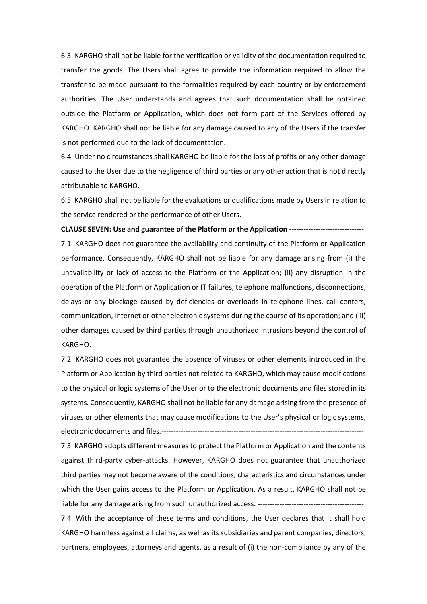6.3. KARGHO shall not be liable for the verification or validity of the documentation required to transfer the goods. The Users shall agree to provide the information required to allow the transfer to be made pursuant to the formalities required by each country or by enforcement authorities. The User understands and agrees that such documentation shall be obtained outside the Platform or Application, which does not form part of the Services offered by KARGHO. KARGHO shall not be liable for any damage caused to any of the Users if the transfer is not performed due to the lack of documentation.---------------------------------------------------------

6.4. Under no circumstances shall KARGHO be liable for the loss of profits or any other damage caused to the User due to the negligence of third parties or any other action that is not directly attributable to KARGHO.---------------------------------------------------------------------------------------------

6.5. KARGHO shall not be liable for the evaluations or qualifications made by Users in relation to the service rendered or the performance of other Users. --------------------------------------------------

**CLAUSE SEVEN: Use and guarantee of the Platform or the Application -------------------------------**

7.1. KARGHO does not guarantee the availability and continuity of the Platform or Application performance. Consequently, KARGHO shall not be liable for any damage arising from (i) the unavailability or lack of access to the Platform or the Application; (ii) any disruption in the operation of the Platform or Application or IT failures, telephone malfunctions, disconnections, delays or any blockage caused by deficiencies or overloads in telephone lines, call centers, communication, Internet or other electronic systems during the course of its operation; and (iii) other damages caused by third parties through unauthorized intrusions beyond the control of KARGHO.-----------------------------------------------------------------------------------------------------------------

7.2. KARGHO does not guarantee the absence of viruses or other elements introduced in the Platform or Application by third parties not related to KARGHO, which may cause modifications to the physical or logic systems of the User or to the electronic documents and files stored in its systems. Consequently, KARGHO shall not be liable for any damage arising from the presence of viruses or other elements that may cause modifications to the User's physical or logic systems, electronic documents and files.------------------------------------------------------------------------------------

7.3. KARGHO adopts different measures to protect the Platform or Application and the contents against third-party cyber-attacks. However, KARGHO does not guarantee that unauthorized third parties may not become aware of the conditions, characteristics and circumstances under which the User gains access to the Platform or Application. As a result, KARGHO shall not be liable for any damage arising from such unauthorized access. --------------------------------------------

7.4. With the acceptance of these terms and conditions, the User declares that it shall hold KARGHO harmless against all claims, as well as its subsidiaries and parent companies, directors, partners, employees, attorneys and agents, as a result of (i) the non-compliance by any of the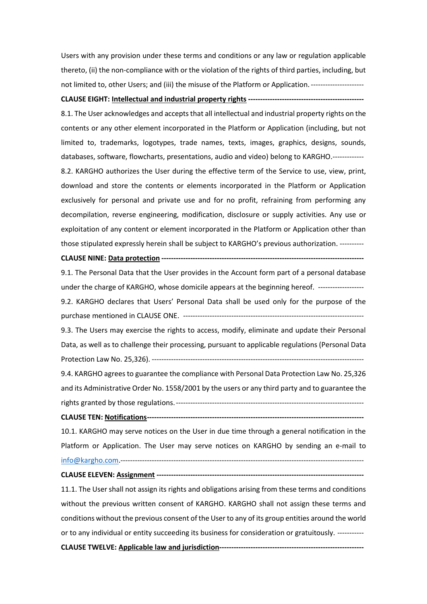Users with any provision under these terms and conditions or any law or regulation applicable thereto, (ii) the non-compliance with or the violation of the rights of third parties, including, but not limited to, other Users; and (iii) the misuse of the Platform or Application. -----------------------

# **CLAUSE EIGHT: Intellectual and industrial property rights ------------------------------------------------**

8.1. The User acknowledges and accepts that all intellectual and industrial property rights on the contents or any other element incorporated in the Platform or Application (including, but not limited to, trademarks, logotypes, trade names, texts, images, graphics, designs, sounds, databases, software, flowcharts, presentations, audio and video) belong to KARGHO.-------------

8.2. KARGHO authorizes the User during the effective term of the Service to use, view, print, download and store the contents or elements incorporated in the Platform or Application exclusively for personal and private use and for no profit, refraining from performing any decompilation, reverse engineering, modification, disclosure or supply activities. Any use or exploitation of any content or element incorporated in the Platform or Application other than those stipulated expressly herein shall be subject to KARGHO's previous authorization. ----------

# **CLAUSE NINE: Data protection ------------------------------------------------------------------------------------**

9.1. The Personal Data that the User provides in the Account form part of a personal database under the charge of KARGHO, whose domicile appears at the beginning hereof. -------------------

9.2. KARGHO declares that Users' Personal Data shall be used only for the purpose of the purchase mentioned in CLAUSE ONE. ---------------------------------------------------------------------------

9.3. The Users may exercise the rights to access, modify, eliminate and update their Personal Data, as well as to challenge their processing, pursuant to applicable regulations (Personal Data Protection Law No. 25,326). ----------------------------------------------------------------------------------------

9.4. KARGHO agrees to guarantee the compliance with Personal Data Protection Law No. 25,326 and its Administrative Order No. 1558/2001 by the users or any third party and to guarantee the rights granted by those regulations.------------------------------------------------------------------------------

**CLAUSE TEN: Notifications------------------------------------------------------------------------------------------**

10.1. KARGHO may serve notices on the User in due time through a general notification in the Platform or Application. The User may serve notices on KARGHO by sending an e-mail to [info@kargho.com.](mailto:info@kargho.com)-----------------------------------------------------------------------------------------------------

# **CLAUSE ELEVEN: Assignment --------------------------------------------------------------------------------------**

11.1. The User shall not assign its rights and obligations arising from these terms and conditions without the previous written consent of KARGHO. KARGHO shall not assign these terms and conditions without the previous consent of the User to any of its group entities around the world or to any individual or entity succeeding its business for consideration or gratuitously. ----------- **CLAUSE TWELVE: Applicable law and jurisdiction------------------------------------------------------------**